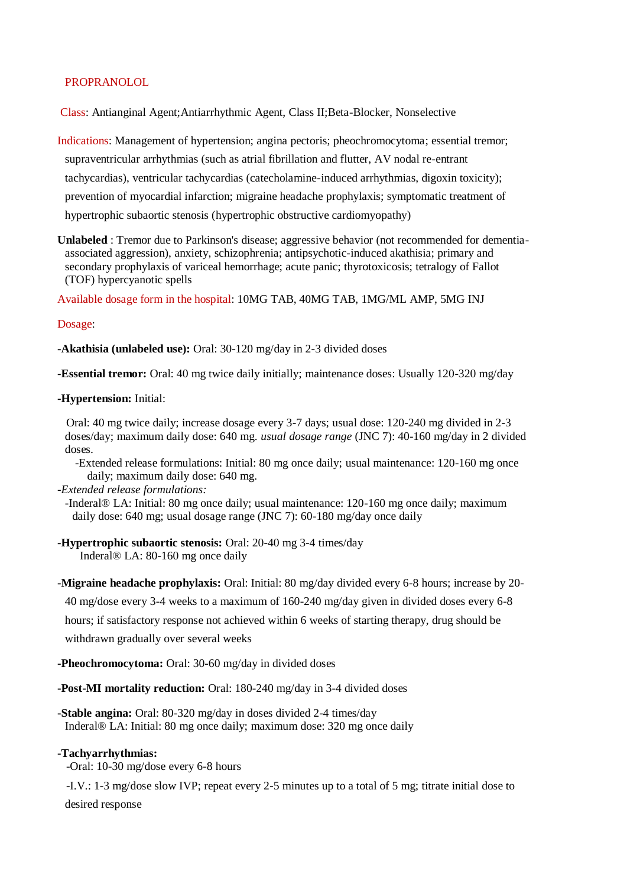# PROPRANOLOL

Class: Antianginal Agent;Antiarrhythmic Agent, Class II;Beta-Blocker, Nonselective

Indications: Management of hypertension; angina pectoris; pheochromocytoma; essential tremor; supraventricular arrhythmias (such as atrial fibrillation and flutter, AV nodal re-entrant tachycardias), ventricular tachycardias (catecholamine-induced arrhythmias, digoxin toxicity); prevention of myocardial infarction; migraine headache prophylaxis; symptomatic treatment of hypertrophic subaortic stenosis (hypertrophic obstructive cardiomyopathy)

**Unlabeled** : Tremor due to Parkinson's disease; aggressive behavior (not recommended for dementiaassociated aggression), anxiety, schizophrenia; antipsychotic-induced akathisia; primary and secondary prophylaxis of variceal hemorrhage; acute panic; thyrotoxicosis; tetralogy of Fallot (TOF) hypercyanotic spells

Available dosage form in the hospital: 10MG TAB, 40MG TAB, 1MG/ML AMP, 5MG INJ

# Dosage:

**-Akathisia (unlabeled use):** Oral: 30-120 mg/day in 2-3 divided doses

**-Essential tremor:** Oral: 40 mg twice daily initially; maintenance doses: Usually 120-320 mg/day

## **-Hypertension:** Initial:

 Oral: 40 mg twice daily; increase dosage every 3-7 days; usual dose: 120-240 mg divided in 2-3 doses/day; maximum daily dose: 640 mg. *usual dosage range* (JNC 7): 40-160 mg/day in 2 divided doses.

 -Extended release formulations: Initial: 80 mg once daily; usual maintenance: 120-160 mg once daily; maximum daily dose: 640 mg.

## *-Extended release formulations:*

-Inderal® LA: Initial: 80 mg once daily; usual maintenance: 120-160 mg once daily; maximum daily dose: 640 mg; usual dosage range (JNC 7): 60-180 mg/day once daily

**-Hypertrophic subaortic stenosis:** Oral: 20-40 mg 3-4 times/day Inderal® LA: 80-160 mg once daily

**-Migraine headache prophylaxis:** Oral: Initial: 80 mg/day divided every 6-8 hours; increase by 20-

40 mg/dose every 3-4 weeks to a maximum of 160-240 mg/day given in divided doses every 6-8

hours; if satisfactory response not achieved within 6 weeks of starting therapy, drug should be

withdrawn gradually over several weeks

**-Pheochromocytoma:** Oral: 30-60 mg/day in divided doses

**-Post-MI mortality reduction:** Oral: 180-240 mg/day in 3-4 divided doses

**-Stable angina:** Oral: 80-320 mg/day in doses divided 2-4 times/day Inderal® LA: Initial: 80 mg once daily; maximum dose: 320 mg once daily

## **-Tachyarrhythmias:**

-Oral: 10-30 mg/dose every 6-8 hours

 -I.V.: 1-3 mg/dose slow IVP; repeat every 2-5 minutes up to a total of 5 mg; titrate initial dose to desired response